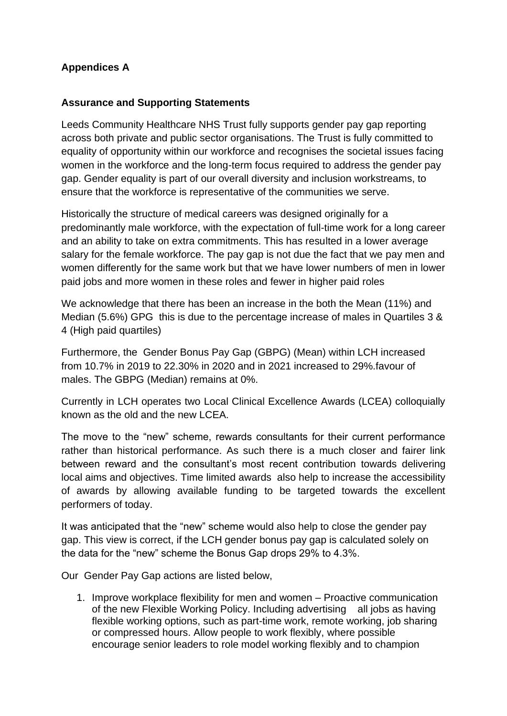## **Appendices A**

## **Assurance and Supporting Statements**

Leeds Community Healthcare NHS Trust fully supports gender pay gap reporting across both private and public sector organisations. The Trust is fully committed to equality of opportunity within our workforce and recognises the societal issues facing women in the workforce and the long-term focus required to address the gender pay gap. Gender equality is part of our overall diversity and inclusion workstreams, to ensure that the workforce is representative of the communities we serve.

Historically the structure of medical careers was designed originally for a predominantly male workforce, with the expectation of full-time work for a long career and an ability to take on extra commitments. This has resulted in a lower average salary for the female workforce. The pay gap is not due the fact that we pay men and women differently for the same work but that we have lower numbers of men in lower paid jobs and more women in these roles and fewer in higher paid roles

We acknowledge that there has been an increase in the both the Mean (11%) and Median (5.6%) GPG this is due to the percentage increase of males in Quartiles 3 & 4 (High paid quartiles)

Furthermore, the Gender Bonus Pay Gap (GBPG) (Mean) within LCH increased from 10.7% in 2019 to 22.30% in 2020 and in 2021 increased to 29%.favour of males. The GBPG (Median) remains at 0%.

Currently in LCH operates two Local Clinical Excellence Awards (LCEA) colloquially known as the old and the new LCEA.

The move to the "new" scheme, rewards consultants for their current performance rather than historical performance. As such there is a much closer and fairer link between reward and the consultant's most recent contribution towards delivering local aims and objectives. Time limited awards also help to increase the accessibility of awards by allowing available funding to be targeted towards the excellent performers of today.

It was anticipated that the "new" scheme would also help to close the gender pay gap. This view is correct, if the LCH gender bonus pay gap is calculated solely on the data for the "new" scheme the Bonus Gap drops 29% to 4.3%.

Our Gender Pay Gap actions are listed below,

1. Improve workplace flexibility for men and women – Proactive communication of the new Flexible Working Policy. Including advertising all jobs as having flexible working options, such as part-time work, remote working, job sharing or compressed hours. Allow people to work flexibly, where possible encourage senior leaders to role model working flexibly and to champion